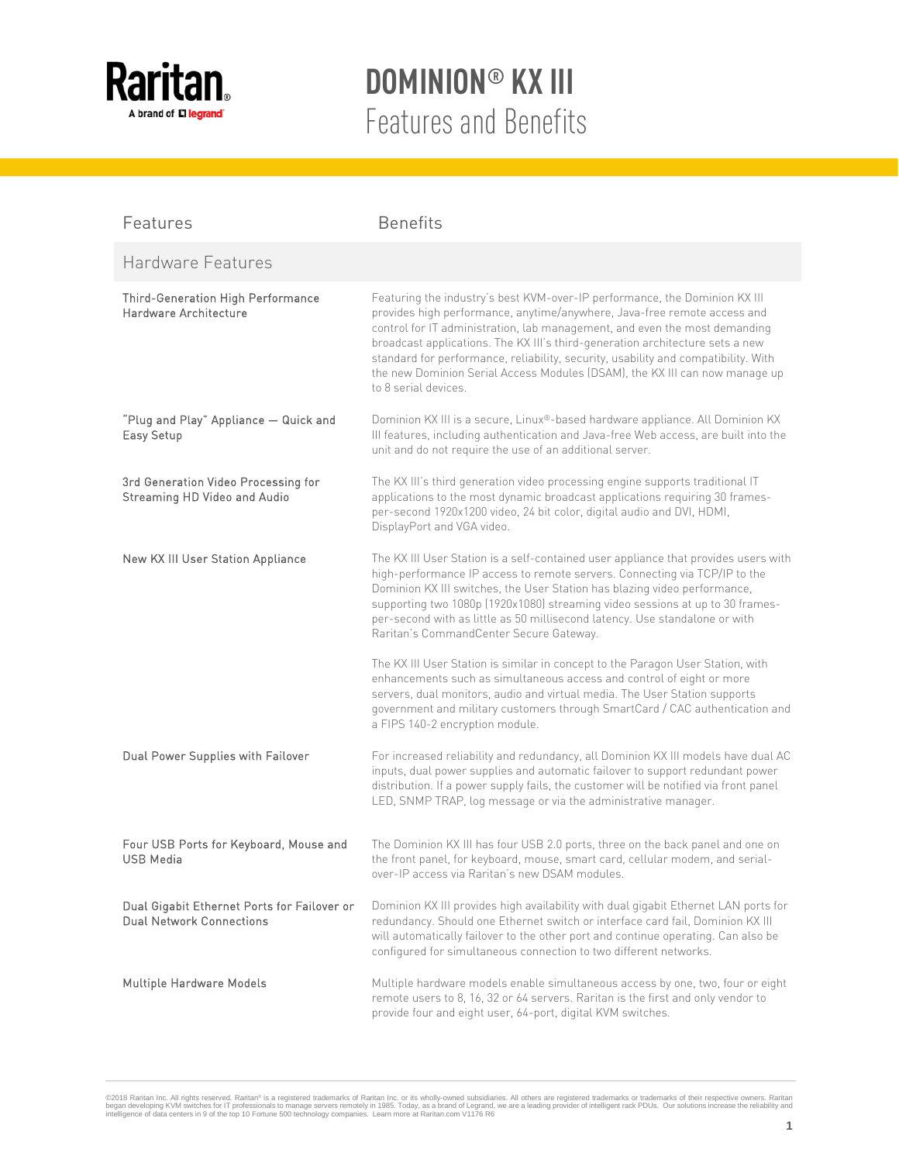

| Features                                                                       | <b>Benefits</b>                                                                                                                                                                                                                                                                                                                                                                                                                                                                                                    |
|--------------------------------------------------------------------------------|--------------------------------------------------------------------------------------------------------------------------------------------------------------------------------------------------------------------------------------------------------------------------------------------------------------------------------------------------------------------------------------------------------------------------------------------------------------------------------------------------------------------|
| Hardware Features                                                              |                                                                                                                                                                                                                                                                                                                                                                                                                                                                                                                    |
| Third-Generation High Performance<br>Hardware Architecture                     | Featuring the industry's best KVM-over-IP performance, the Dominion KX III<br>provides high performance, anytime/anywhere, Java-free remote access and<br>control for IT administration, lab management, and even the most demanding<br>broadcast applications. The KX III's third-generation architecture sets a new<br>standard for performance, reliability, security, usability and compatibility. With<br>the new Dominion Serial Access Modules (DSAM), the KX III can now manage up<br>to 8 serial devices. |
| "Plug and Play" Appliance - Quick and<br>Easy Setup                            | Dominion KX III is a secure, Linux®-based hardware appliance. All Dominion KX<br>III features, including authentication and Java-free Web access, are built into the<br>unit and do not require the use of an additional server.                                                                                                                                                                                                                                                                                   |
| 3rd Generation Video Processing for<br>Streaming HD Video and Audio            | The KX III's third generation video processing engine supports traditional IT<br>applications to the most dynamic broadcast applications requiring 30 frames-<br>per-second 1920x1200 video, 24 bit color, digital audio and DVI, HDMI,<br>DisplayPort and VGA video.                                                                                                                                                                                                                                              |
| New KX III User Station Appliance                                              | The KX III User Station is a self-contained user appliance that provides users with<br>high-performance IP access to remote servers. Connecting via TCP/IP to the<br>Dominion KX III switches, the User Station has blazing video performance,<br>supporting two 1080p (1920x1080) streaming video sessions at up to 30 frames-<br>per-second with as little as 50 millisecond latency. Use standalone or with<br>Raritan's CommandCenter Secure Gateway.                                                          |
|                                                                                | The KX III User Station is similar in concept to the Paragon User Station, with<br>enhancements such as simultaneous access and control of eight or more<br>servers, dual monitors, audio and virtual media. The User Station supports<br>government and military customers through SmartCard / CAC authentication and<br>a FIPS 140-2 encryption module.                                                                                                                                                          |
| Dual Power Supplies with Failover                                              | For increased reliability and redundancy, all Dominion KX III models have dual AC<br>inputs, dual power supplies and automatic failover to support redundant power<br>distribution. If a power supply fails, the customer will be notified via front panel<br>LED, SNMP TRAP, log message or via the administrative manager.                                                                                                                                                                                       |
| Four USB Ports for Keyboard, Mouse and<br>USB Media                            | The Dominion KX III has four USB 2.0 ports, three on the back panel and one on<br>the front panel, for keyboard, mouse, smart card, cellular modem, and serial-<br>over-IP access via Raritan's new DSAM modules.                                                                                                                                                                                                                                                                                                  |
| Dual Gigabit Ethernet Ports for Failover or<br><b>Dual Network Connections</b> | Dominion KX III provides high availability with dual gigabit Ethernet LAN ports for<br>redundancy. Should one Ethernet switch or interface card fail, Dominion KX III<br>will automatically failover to the other port and continue operating. Can also be<br>configured for simultaneous connection to two different networks.                                                                                                                                                                                    |
| Multiple Hardware Models                                                       | Multiple hardware models enable simultaneous access by one, two, four or eight<br>remote users to 8, 16, 32 or 64 servers. Raritan is the first and only vendor to<br>provide four and eight user, 64-port, digital KVM switches.                                                                                                                                                                                                                                                                                  |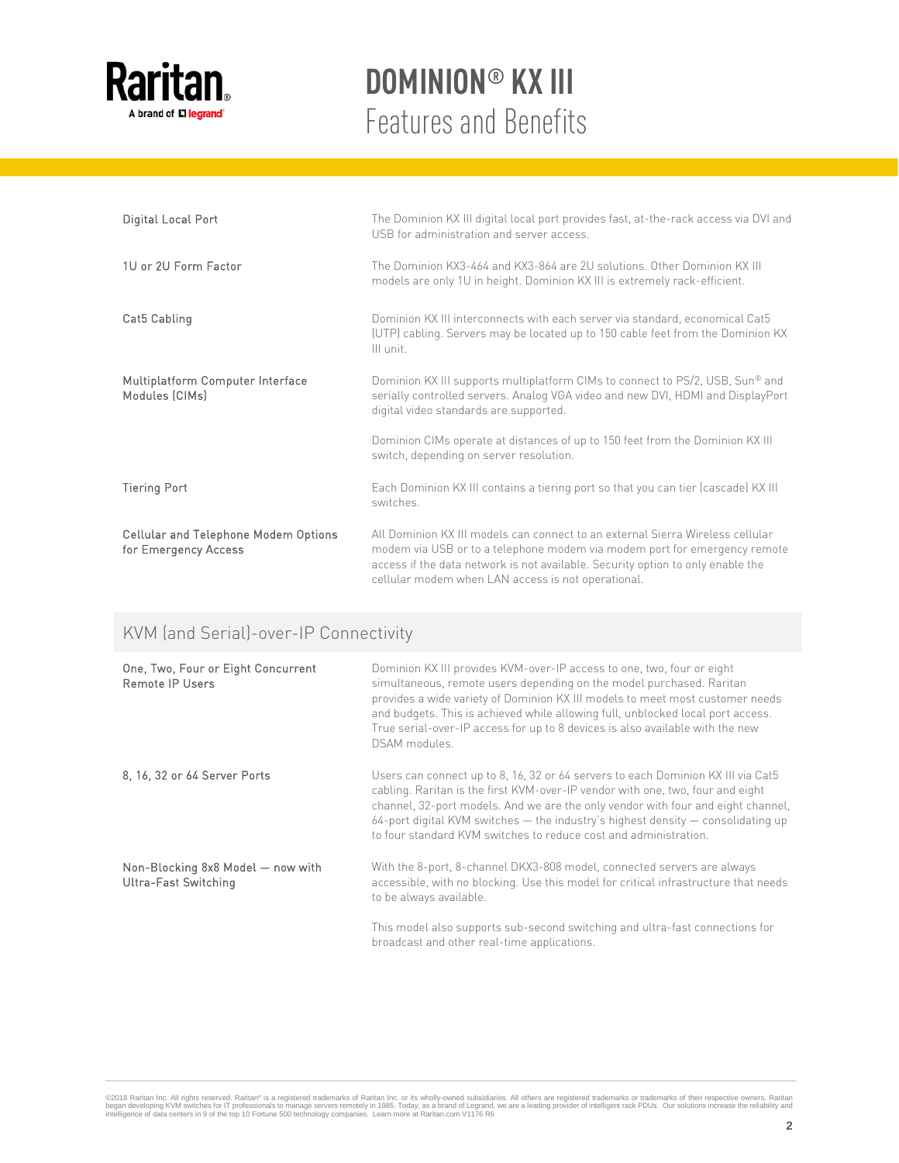

| Digital Local Port                                           | The Dominion KX III digital local port provides fast, at-the-rack access via DVI and<br>USB for administration and server access.                                                                                                                                                                    |
|--------------------------------------------------------------|------------------------------------------------------------------------------------------------------------------------------------------------------------------------------------------------------------------------------------------------------------------------------------------------------|
| 1U or 2U Form Factor                                         | The Dominion KX3-464 and KX3-864 are 2U solutions. Other Dominion KX III<br>models are only 1U in height. Dominion KX III is extremely rack-efficient.                                                                                                                                               |
| Cat5 Cabling                                                 | Dominion KX III interconnects with each server via standard, economical Cat5<br>(UTP) cabling. Servers may be located up to 150 cable feet from the Dominion KX<br>III unit.                                                                                                                         |
| Multiplatform Computer Interface<br>Modules (CIMs)           | Dominion KX III supports multiplatform CIMs to connect to PS/2, USB, Sun® and<br>serially controlled servers. Analog VGA video and new DVI, HDMI and DisplayPort<br>digital video standards are supported.                                                                                           |
|                                                              | Dominion CIMs operate at distances of up to 150 feet from the Dominion KX III<br>switch, depending on server resolution.                                                                                                                                                                             |
| <b>Tiering Port</b>                                          | Each Dominion KX III contains a tiering port so that you can tier (cascade) KX III<br>switches.                                                                                                                                                                                                      |
| Cellular and Telephone Modem Options<br>for Emergency Access | All Dominion KX III models can connect to an external Sierra Wireless cellular<br>modem via USB or to a telephone modem via modem port for emergency remote<br>access if the data network is not available. Security option to only enable the<br>cellular modem when LAN access is not operational. |

#### KVM (and Serial)-over-IP Connectivity

| One, Two, Four or Eight Concurrent<br><b>Remote IP Users</b>     | Dominion KX III provides KVM-over-IP access to one, two, four or eight<br>simultaneous, remote users depending on the model purchased. Raritan<br>provides a wide variety of Dominion KX III models to meet most customer needs<br>and budgets. This is achieved while allowing full, unblocked local port access.<br>True serial-over-IP access for up to 8 devices is also available with the new<br>DSAM modules.  |
|------------------------------------------------------------------|-----------------------------------------------------------------------------------------------------------------------------------------------------------------------------------------------------------------------------------------------------------------------------------------------------------------------------------------------------------------------------------------------------------------------|
| 8, 16, 32 or 64 Server Ports                                     | Users can connect up to 8, 16, 32 or 64 servers to each Dominion KX III via Cat5<br>cabling. Raritan is the first KVM-over-IP vendor with one, two, four and eight<br>channel, 32-port models. And we are the only vendor with four and eight channel,<br>$64$ -port digital KVM switches $-$ the industry's highest density $-$ consolidating up<br>to four standard KVM switches to reduce cost and administration. |
| Non-Blocking 8x8 Model - now with<br><b>Ultra-Fast Switching</b> | With the 8-port, 8-channel DKX3-808 model, connected servers are always<br>accessible, with no blocking. Use this model for critical infrastructure that needs<br>to be always available.                                                                                                                                                                                                                             |
|                                                                  | This model also supports sub-second switching and ultra-fast connections for<br>broadcast and other real-time applications.                                                                                                                                                                                                                                                                                           |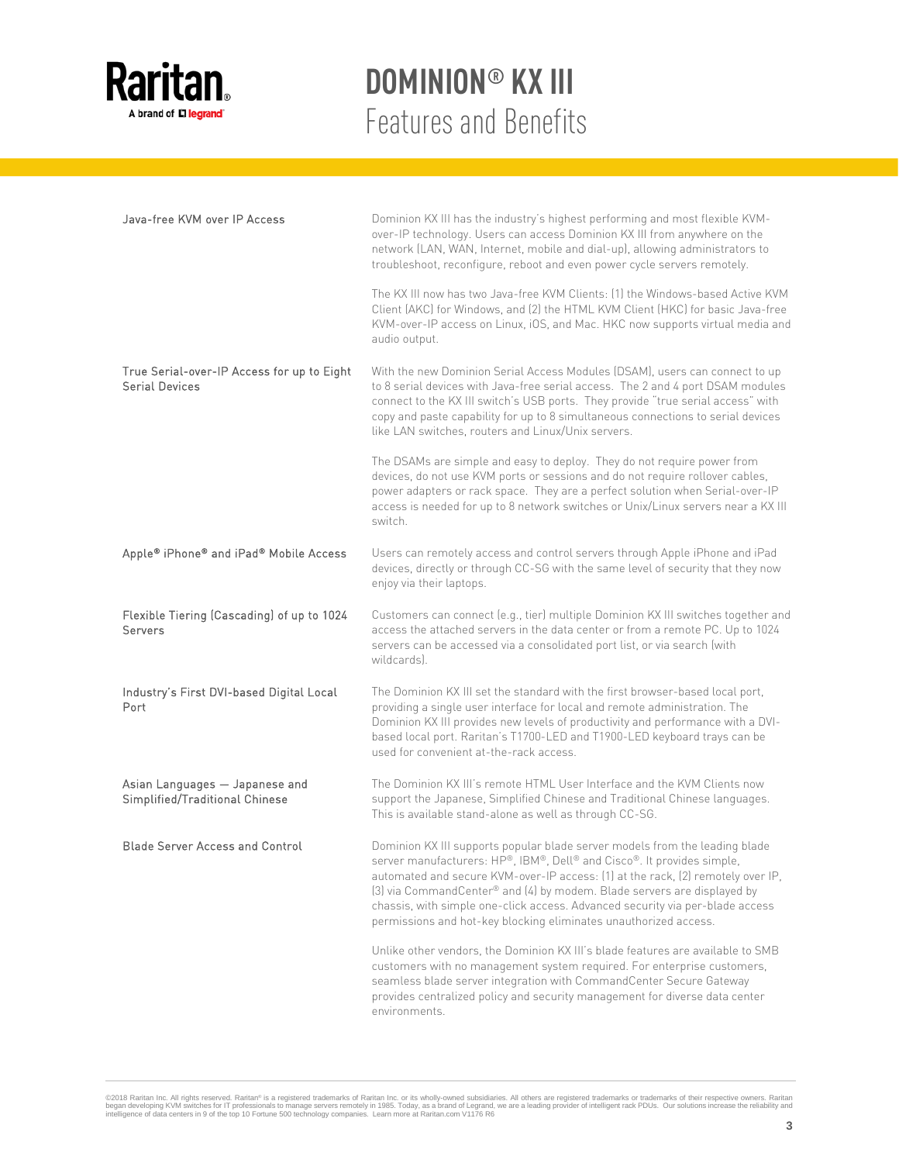

| Java-free KVM over IP Access                                        | Dominion KX III has the industry's highest performing and most flexible KVM-<br>over-IP technology. Users can access Dominion KX III from anywhere on the<br>network (LAN, WAN, Internet, mobile and dial-up), allowing administrators to<br>troubleshoot, reconfigure, reboot and even power cycle servers remotely.<br>The KX III now has two Java-free KVM Clients: [1] the Windows-based Active KVM<br>Client (AKC) for Windows, and (2) the HTML KVM Client (HKC) for basic Java-free<br>KVM-over-IP access on Linux, iOS, and Mac. HKC now supports virtual media and |
|---------------------------------------------------------------------|-----------------------------------------------------------------------------------------------------------------------------------------------------------------------------------------------------------------------------------------------------------------------------------------------------------------------------------------------------------------------------------------------------------------------------------------------------------------------------------------------------------------------------------------------------------------------------|
| True Serial-over-IP Access for up to Eight<br><b>Serial Devices</b> | audio output.<br>With the new Dominion Serial Access Modules (DSAM), users can connect to up<br>to 8 serial devices with Java-free serial access. The 2 and 4 port DSAM modules<br>connect to the KX III switch's USB ports. They provide "true serial access" with<br>copy and paste capability for up to 8 simultaneous connections to serial devices<br>like LAN switches, routers and Linux/Unix servers.                                                                                                                                                               |
|                                                                     | The DSAMs are simple and easy to deploy. They do not require power from<br>devices, do not use KVM ports or sessions and do not require rollover cables,<br>power adapters or rack space. They are a perfect solution when Serial-over-IP<br>access is needed for up to 8 network switches or Unix/Linux servers near a KX III<br>switch.                                                                                                                                                                                                                                   |
| Apple® iPhone® and iPad® Mobile Access                              | Users can remotely access and control servers through Apple iPhone and iPad<br>devices, directly or through CC-SG with the same level of security that they now<br>enjoy via their laptops.                                                                                                                                                                                                                                                                                                                                                                                 |
| Flexible Tiering (Cascading) of up to 1024<br>Servers               | Customers can connect (e.g., tier) multiple Dominion KX III switches together and<br>access the attached servers in the data center or from a remote PC. Up to 1024<br>servers can be accessed via a consolidated port list, or via search (with<br>wildcards).                                                                                                                                                                                                                                                                                                             |
| Industry's First DVI-based Digital Local<br>Port                    | The Dominion KX III set the standard with the first browser-based local port,<br>providing a single user interface for local and remote administration. The<br>Dominion KX III provides new levels of productivity and performance with a DVI-<br>based local port. Raritan's T1700-LED and T1900-LED keyboard trays can be<br>used for convenient at-the-rack access.                                                                                                                                                                                                      |
| Asian Languages - Japanese and<br>Simplified/Traditional Chinese    | The Dominion KX III's remote HTML User Interface and the KVM Clients now<br>support the Japanese, Simplified Chinese and Traditional Chinese languages.<br>This is available stand-alone as well as through CC-SG.                                                                                                                                                                                                                                                                                                                                                          |
| <b>Blade Server Access and Control</b>                              | Dominion KX III supports popular blade server models from the leading blade<br>server manufacturers: HP®, IBM®, Dell® and Cisco®. It provides simple,<br>automated and secure KVM-over-IP access: (1) at the rack, (2) remotely over IP,<br>(3) via CommandCenter® and (4) by modem. Blade servers are displayed by<br>chassis, with simple one-click access. Advanced security via per-blade access<br>permissions and hot-key blocking eliminates unauthorized access.                                                                                                    |
|                                                                     | Unlike other vendors, the Dominion KX III's blade features are available to SMB<br>customers with no management system required. For enterprise customers,<br>seamless blade server integration with CommandCenter Secure Gateway<br>provides centralized policy and security management for diverse data center<br>environments.                                                                                                                                                                                                                                           |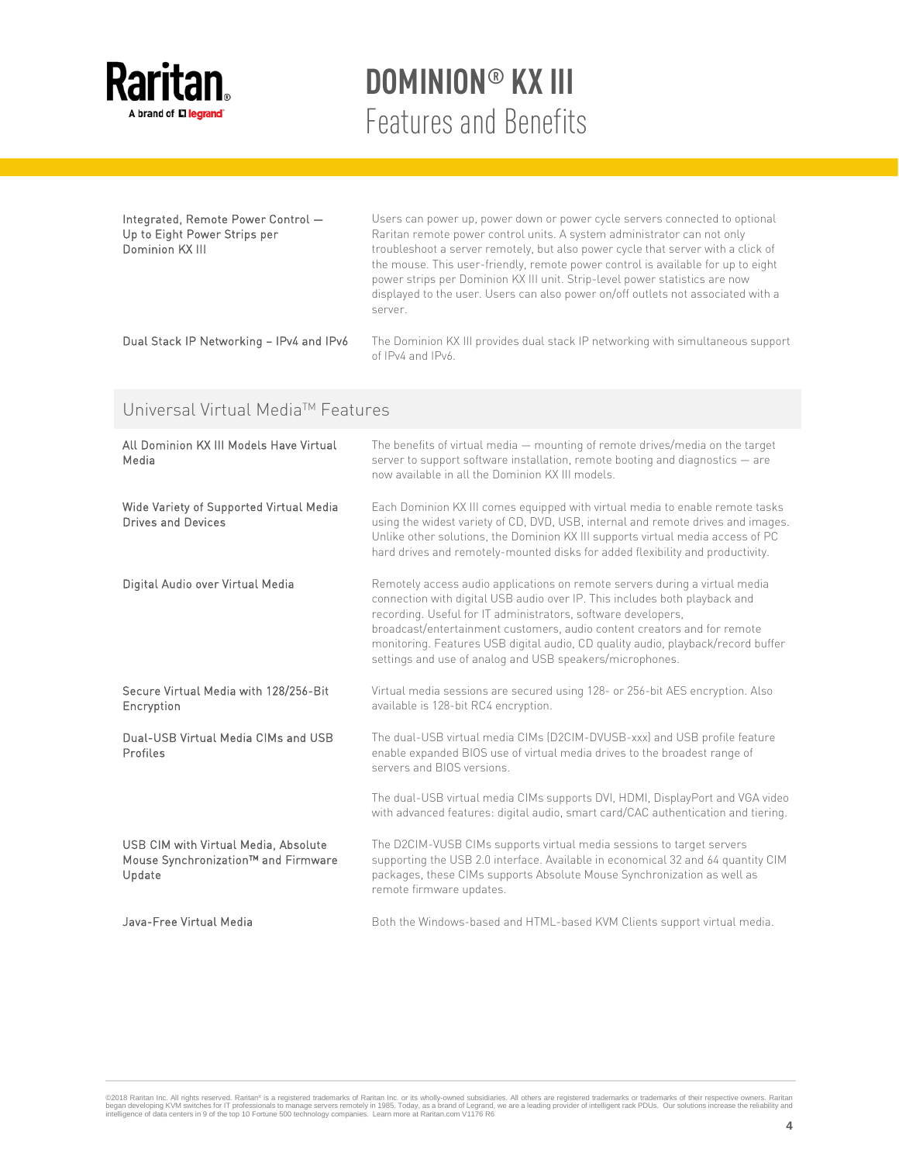

| Integrated, Remote Power Control -<br>Up to Eight Power Strips per<br>Dominion KX III | Users can power up, power down or power cycle servers connected to optional<br>Raritan remote power control units. A system administrator can not only<br>troubleshoot a server remotely, but also power cycle that server with a click of<br>the mouse. This user-friendly, remote power control is available for up to eight<br>power strips per Dominion KX III unit. Strip-level power statistics are now<br>displayed to the user. Users can also power on/off outlets not associated with a<br>server. |
|---------------------------------------------------------------------------------------|--------------------------------------------------------------------------------------------------------------------------------------------------------------------------------------------------------------------------------------------------------------------------------------------------------------------------------------------------------------------------------------------------------------------------------------------------------------------------------------------------------------|
| Dual Stack IP Networking - IPv4 and IPv6                                              | The Dominion KX III provides dual stack IP networking with simultaneous support<br>of IPv4 and IPv6.                                                                                                                                                                                                                                                                                                                                                                                                         |

### Universal Virtual Media™ Features

| All Dominion KX III Models Have Virtual<br>Media                                      | The benefits of virtual media – mounting of remote drives/media on the target<br>server to support software installation, remote booting and diagnostics - are<br>now available in all the Dominion KX III models.                                                                                                                                                                                                                                     |
|---------------------------------------------------------------------------------------|--------------------------------------------------------------------------------------------------------------------------------------------------------------------------------------------------------------------------------------------------------------------------------------------------------------------------------------------------------------------------------------------------------------------------------------------------------|
| Wide Variety of Supported Virtual Media<br>Drives and Devices                         | Each Dominion KX III comes equipped with virtual media to enable remote tasks<br>using the widest variety of CD, DVD, USB, internal and remote drives and images.<br>Unlike other solutions, the Dominion KX III supports virtual media access of PC<br>hard drives and remotely-mounted disks for added flexibility and productivity.                                                                                                                 |
| Digital Audio over Virtual Media                                                      | Remotely access audio applications on remote servers during a virtual media<br>connection with digital USB audio over IP. This includes both playback and<br>recording. Useful for IT administrators, software developers,<br>broadcast/entertainment customers, audio content creators and for remote<br>monitoring. Features USB digital audio, CD quality audio, playback/record buffer<br>settings and use of analog and USB speakers/microphones. |
| Secure Virtual Media with 128/256-Bit<br>Encryption                                   | Virtual media sessions are secured using 128- or 256-bit AES encryption. Also<br>available is 128-bit RC4 encryption.                                                                                                                                                                                                                                                                                                                                  |
| Dual-USB Virtual Media CIMs and USB<br>Profiles                                       | The dual-USB virtual media CIMs (D2CIM-DVUSB-xxx) and USB profile feature<br>enable expanded BIOS use of virtual media drives to the broadest range of<br>servers and BIOS versions.                                                                                                                                                                                                                                                                   |
|                                                                                       | The dual-USB virtual media CIMs supports DVI, HDMI, DisplayPort and VGA video<br>with advanced features: digital audio, smart card/CAC authentication and tiering.                                                                                                                                                                                                                                                                                     |
| USB CIM with Virtual Media, Absolute<br>Mouse Synchronization™ and Firmware<br>Update | The D2CIM-VUSB CIMs supports virtual media sessions to target servers<br>supporting the USB 2.0 interface. Available in economical 32 and 64 quantity CIM<br>packages, these CIMs supports Absolute Mouse Synchronization as well as<br>remote firmware updates.                                                                                                                                                                                       |
| Java-Free Virtual Media                                                               | Both the Windows-based and HTML-based KVM Clients support virtual media.                                                                                                                                                                                                                                                                                                                                                                               |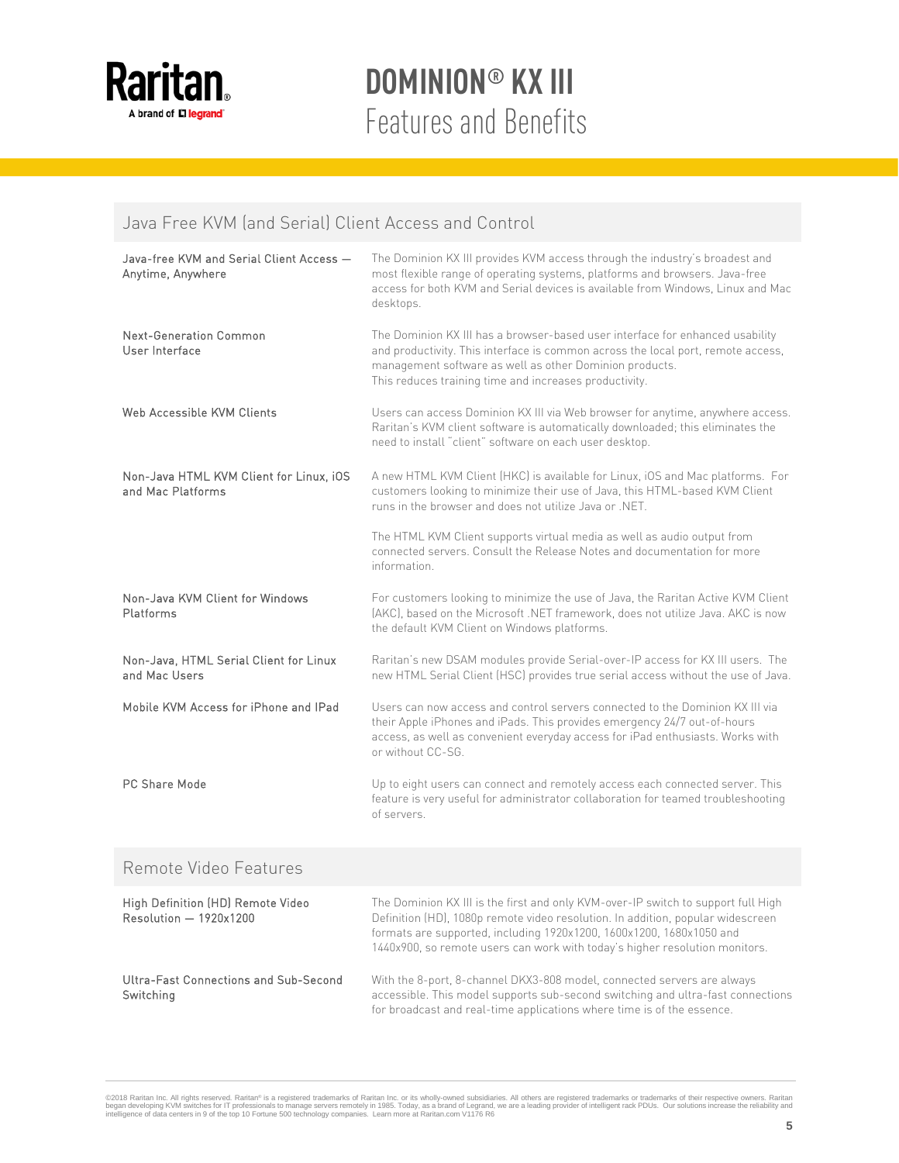

#### Java Free KVM (and Serial) Client Access and Control

| Java-free KVM and Serial Client Access -<br>Anytime, Anywhere | The Dominion KX III provides KVM access through the industry's broadest and<br>most flexible range of operating systems, platforms and browsers. Java-free<br>access for both KVM and Serial devices is available from Windows, Linux and Mac<br>desktops.                                                                  |
|---------------------------------------------------------------|-----------------------------------------------------------------------------------------------------------------------------------------------------------------------------------------------------------------------------------------------------------------------------------------------------------------------------|
| Next-Generation Common<br>User Interface                      | The Dominion KX III has a browser-based user interface for enhanced usability<br>and productivity. This interface is common across the local port, remote access,<br>management software as well as other Dominion products.<br>This reduces training time and increases productivity.                                      |
| Web Accessible KVM Clients                                    | Users can access Dominion KX III via Web browser for anytime, anywhere access.<br>Raritan's KVM client software is automatically downloaded; this eliminates the<br>need to install "client" software on each user desktop.                                                                                                 |
| Non-Java HTML KVM Client for Linux, iOS<br>and Mac Platforms  | A new HTML KVM Client (HKC) is available for Linux, iOS and Mac platforms. For<br>customers looking to minimize their use of Java, this HTML-based KVM Client<br>runs in the browser and does not utilize Java or .NET.                                                                                                     |
|                                                               | The HTML KVM Client supports virtual media as well as audio output from<br>connected servers. Consult the Release Notes and documentation for more<br>information                                                                                                                                                           |
| Non-Java KVM Client for Windows<br>Platforms                  | For customers looking to minimize the use of Java, the Raritan Active KVM Client<br>(AKC), based on the Microsoft .NET framework, does not utilize Java. AKC is now<br>the default KVM Client on Windows platforms.                                                                                                         |
| Non-Java, HTML Serial Client for Linux<br>and Mac Users       | Raritan's new DSAM modules provide Serial-over-IP access for KX III users. The<br>new HTML Serial Client (HSC) provides true serial access without the use of Java.                                                                                                                                                         |
| Mobile KVM Access for iPhone and IPad                         | Users can now access and control servers connected to the Dominion KX III via<br>their Apple iPhones and iPads. This provides emergency 24/7 out-of-hours<br>access, as well as convenient everyday access for iPad enthusiasts. Works with<br>or without CC-SG.                                                            |
| PC Share Mode                                                 | Up to eight users can connect and remotely access each connected server. This<br>feature is very useful for administrator collaboration for teamed troubleshooting<br>of servers.                                                                                                                                           |
| Remote Video Features                                         |                                                                                                                                                                                                                                                                                                                             |
| High Definition (HD) Remote Video<br>Resolution - 1920x1200   | The Dominion KX III is the first and only KVM-over-IP switch to support full High<br>Definition (HD), 1080p remote video resolution. In addition, popular widescreen<br>formats are supported, including 1920x1200, 1600x1200, 1680x1050 and<br>1440x900, so remote users can work with today's higher resolution monitors. |
| Ultra-Fast Connections and Sub-Second<br>Switching            | With the 8-port, 8-channel DKX3-808 model, connected servers are always<br>accessible. This model supports sub-second switching and ultra-fast connections<br>for broadcast and real-time applications where time is of the essence.                                                                                        |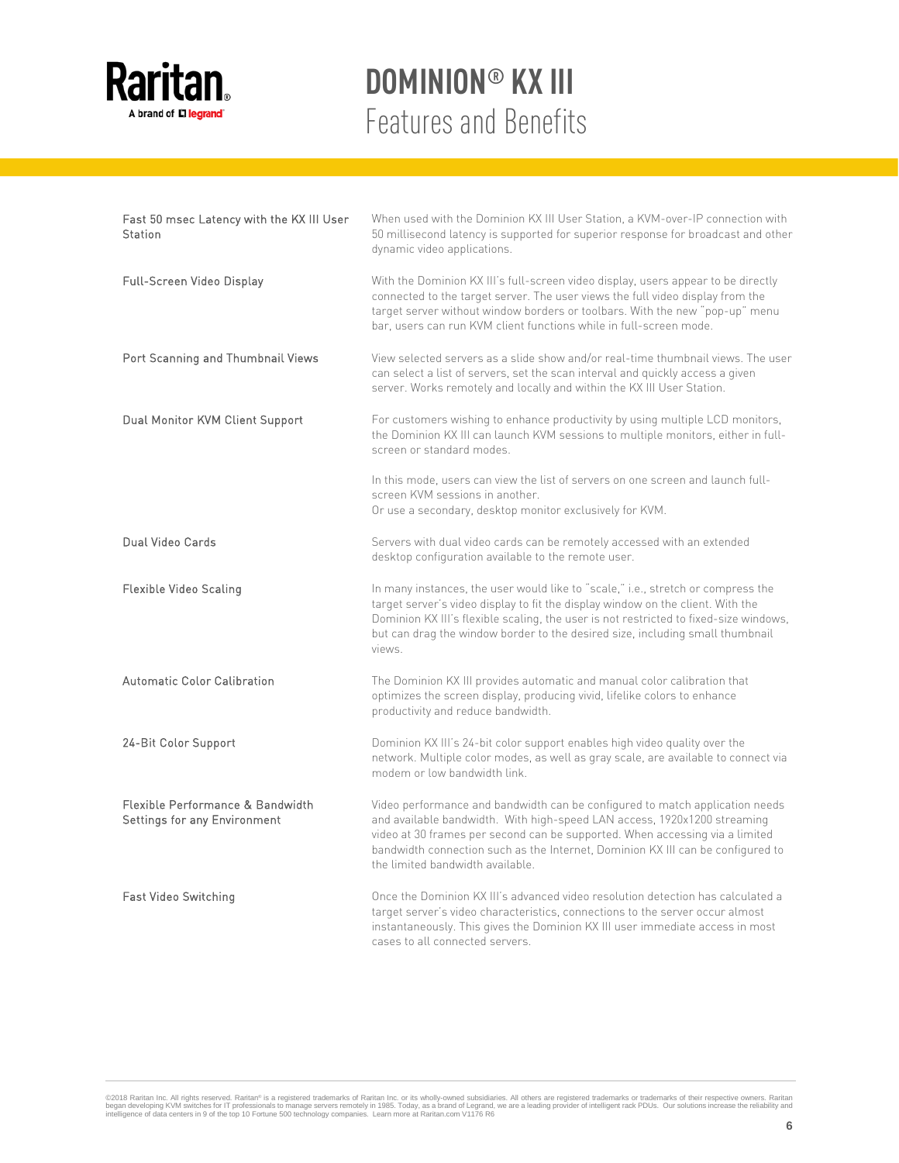

| Fast 50 msec Latency with the KX III User<br>Station             | When used with the Dominion KX III User Station, a KVM-over-IP connection with<br>50 millisecond latency is supported for superior response for broadcast and other<br>dynamic video applications.                                                                                                                                                              |
|------------------------------------------------------------------|-----------------------------------------------------------------------------------------------------------------------------------------------------------------------------------------------------------------------------------------------------------------------------------------------------------------------------------------------------------------|
| Full-Screen Video Display                                        | With the Dominion KX III's full-screen video display, users appear to be directly<br>connected to the target server. The user views the full video display from the<br>target server without window borders or toolbars. With the new "pop-up" menu<br>bar, users can run KVM client functions while in full-screen mode.                                       |
| Port Scanning and Thumbnail Views                                | View selected servers as a slide show and/or real-time thumbnail views. The user<br>can select a list of servers, set the scan interval and quickly access a given<br>server. Works remotely and locally and within the KX III User Station.                                                                                                                    |
| Dual Monitor KVM Client Support                                  | For customers wishing to enhance productivity by using multiple LCD monitors,<br>the Dominion KX III can launch KVM sessions to multiple monitors, either in full-<br>screen or standard modes.                                                                                                                                                                 |
|                                                                  | In this mode, users can view the list of servers on one screen and launch full-<br>screen KVM sessions in another.<br>Or use a secondary, desktop monitor exclusively for KVM.                                                                                                                                                                                  |
| Dual Video Cards                                                 | Servers with dual video cards can be remotely accessed with an extended<br>desktop configuration available to the remote user.                                                                                                                                                                                                                                  |
| <b>Flexible Video Scaling</b>                                    | In many instances, the user would like to "scale," i.e., stretch or compress the<br>target server's video display to fit the display window on the client. With the<br>Dominion KX III's flexible scaling, the user is not restricted to fixed-size windows,<br>but can drag the window border to the desired size, including small thumbnail<br>views.         |
| Automatic Color Calibration                                      | The Dominion KX III provides automatic and manual color calibration that<br>optimizes the screen display, producing vivid, lifelike colors to enhance<br>productivity and reduce bandwidth.                                                                                                                                                                     |
| 24-Bit Color Support                                             | Dominion KX III's 24-bit color support enables high video quality over the<br>network. Multiple color modes, as well as gray scale, are available to connect via<br>modem or low bandwidth link.                                                                                                                                                                |
| Flexible Performance & Bandwidth<br>Settings for any Environment | Video performance and bandwidth can be configured to match application needs<br>and available bandwidth. With high-speed LAN access, 1920x1200 streaming<br>video at 30 frames per second can be supported. When accessing via a limited<br>bandwidth connection such as the Internet, Dominion KX III can be configured to<br>the limited bandwidth available. |
| Fast Video Switching                                             | Once the Dominion KX III's advanced video resolution detection has calculated a<br>target server's video characteristics, connections to the server occur almost<br>instantaneously. This gives the Dominion KX III user immediate access in most<br>cases to all connected servers.                                                                            |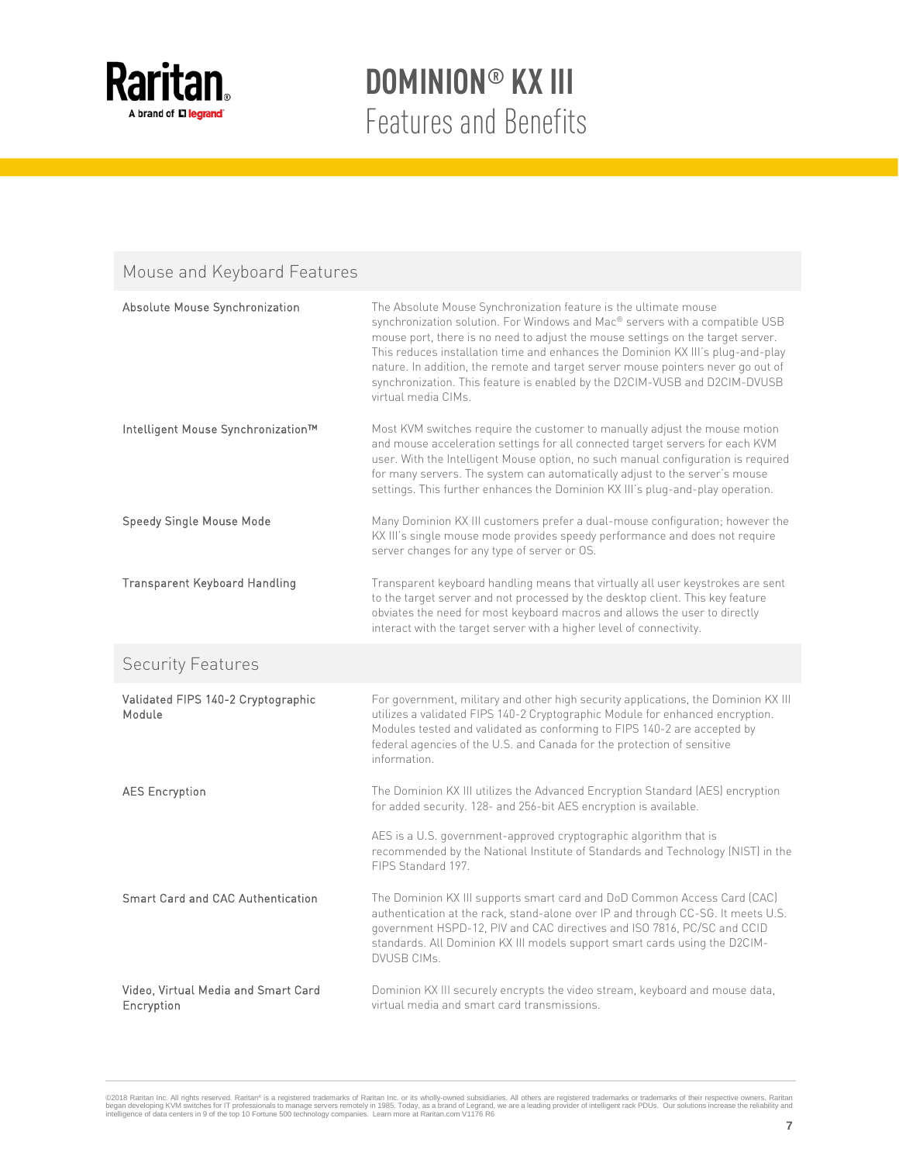

### Mouse and Keyboard Features

| Absolute Mouse Synchronization                    | The Absolute Mouse Synchronization feature is the ultimate mouse<br>synchronization solution. For Windows and Mac® servers with a compatible USB<br>mouse port, there is no need to adjust the mouse settings on the target server.<br>This reduces installation time and enhances the Dominion KX III's plug-and-play<br>nature. In addition, the remote and target server mouse pointers never go out of<br>synchronization. This feature is enabled by the D2CIM-VUSB and D2CIM-DVUSB<br>virtual media CIMs. |
|---------------------------------------------------|-----------------------------------------------------------------------------------------------------------------------------------------------------------------------------------------------------------------------------------------------------------------------------------------------------------------------------------------------------------------------------------------------------------------------------------------------------------------------------------------------------------------|
| Intelligent Mouse Synchronization™                | Most KVM switches require the customer to manually adjust the mouse motion<br>and mouse acceleration settings for all connected target servers for each KVM<br>user. With the Intelligent Mouse option, no such manual configuration is required<br>for many servers. The system can automatically adjust to the server's mouse<br>settings. This further enhances the Dominion KX III's plug-and-play operation.                                                                                               |
| Speedy Single Mouse Mode                          | Many Dominion KX III customers prefer a dual-mouse configuration; however the<br>KX III's single mouse mode provides speedy performance and does not require<br>server changes for any type of server or OS.                                                                                                                                                                                                                                                                                                    |
| <b>Transparent Keyboard Handling</b>              | Transparent keyboard handling means that virtually all user keystrokes are sent<br>to the target server and not processed by the desktop client. This key feature<br>obviates the need for most keyboard macros and allows the user to directly<br>interact with the target server with a higher level of connectivity.                                                                                                                                                                                         |
| <b>Security Features</b>                          |                                                                                                                                                                                                                                                                                                                                                                                                                                                                                                                 |
| Validated FIPS 140-2 Cryptographic<br>Module      | For government, military and other high security applications, the Dominion KX III<br>utilizes a validated FIPS 140-2 Cryptographic Module for enhanced encryption.<br>Modules tested and validated as conforming to FIPS 140-2 are accepted by<br>federal agencies of the U.S. and Canada for the protection of sensitive<br>information.                                                                                                                                                                      |
| <b>AES Encryption</b>                             | The Dominion KX III utilizes the Advanced Encryption Standard (AES) encryption<br>for added security. 128- and 256-bit AES encryption is available.                                                                                                                                                                                                                                                                                                                                                             |
|                                                   | AES is a U.S. government-approved cryptographic algorithm that is<br>recommended by the National Institute of Standards and Technology (NIST) in the<br>FIPS Standard 197.                                                                                                                                                                                                                                                                                                                                      |
| Smart Card and CAC Authentication                 | The Dominion KX III supports smart card and DoD Common Access Card (CAC)<br>authentication at the rack, stand-alone over IP and through CC-SG. It meets U.S.<br>government HSPD-12, PIV and CAC directives and ISO 7816, PC/SC and CCID<br>standards. All Dominion KX III models support smart cards using the D2CIM-<br><b>DVUSB CIMs.</b>                                                                                                                                                                     |
| Video, Virtual Media and Smart Card<br>Encryption | Dominion KX III securely encrypts the video stream, keyboard and mouse data,<br>virtual media and smart card transmissions.                                                                                                                                                                                                                                                                                                                                                                                     |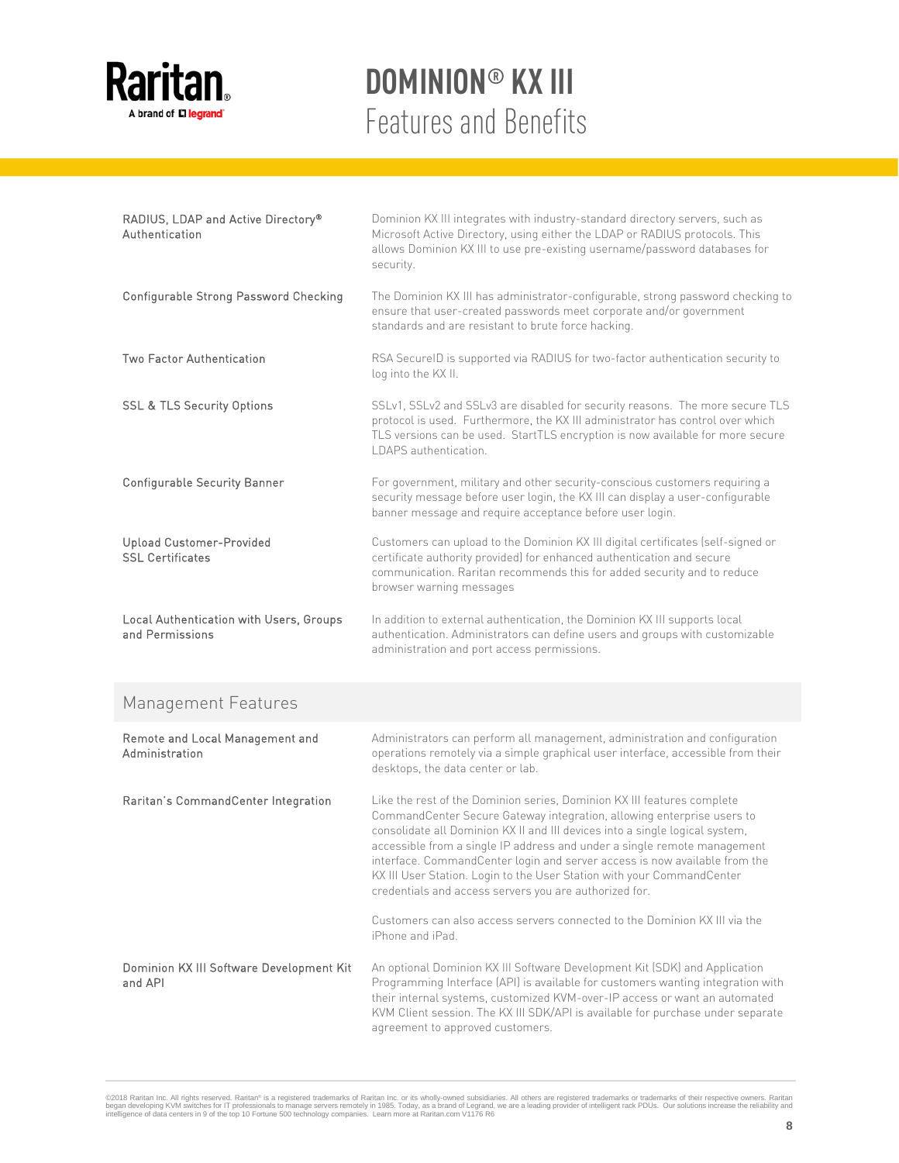

| RADIUS, LDAP and Active Directory®<br>Authentication       | Dominion KX III integrates with industry-standard directory servers, such as<br>Microsoft Active Directory, using either the LDAP or RADIUS protocols. This<br>allows Dominion KX III to use pre-existing username/password databases for<br>security.                    |
|------------------------------------------------------------|---------------------------------------------------------------------------------------------------------------------------------------------------------------------------------------------------------------------------------------------------------------------------|
| Configurable Strong Password Checking                      | The Dominion KX III has administrator-configurable, strong password checking to<br>ensure that user-created passwords meet corporate and/or government<br>standards and are resistant to brute force hacking.                                                             |
| <b>Two Factor Authentication</b>                           | RSA SecureID is supported via RADIUS for two-factor authentication security to<br>log into the KX II.                                                                                                                                                                     |
| <b>SSL &amp; TLS Security Options</b>                      | SSLv1, SSLv2 and SSLv3 are disabled for security reasons. The more secure TLS<br>protocol is used. Furthermore, the KX III administrator has control over which<br>TLS versions can be used. StartTLS encryption is now available for more secure<br>LDAPS authentication |
| Configurable Security Banner                               | For government, military and other security-conscious customers requiring a<br>security message before user login, the KX III can display a user-configurable<br>banner message and require acceptance before user login.                                                 |
| Upload Customer-Provided<br><b>SSL Certificates</b>        | Customers can upload to the Dominion KX III digital certificates (self-signed or<br>certificate authority provided) for enhanced authentication and secure<br>communication. Raritan recommends this for added security and to reduce<br>browser warning messages         |
| Local Authentication with Users, Groups<br>and Permissions | In addition to external authentication, the Dominion KX III supports local<br>authentication. Administrators can define users and groups with customizable<br>administration and port access permissions.                                                                 |

#### Management Features

| Remote and Local Management and<br>Administration   | Administrators can perform all management, administration and configuration<br>operations remotely via a simple graphical user interface, accessible from their<br>desktops, the data center or lab.                                                                                                                                                                                                                                                                                                                            |
|-----------------------------------------------------|---------------------------------------------------------------------------------------------------------------------------------------------------------------------------------------------------------------------------------------------------------------------------------------------------------------------------------------------------------------------------------------------------------------------------------------------------------------------------------------------------------------------------------|
| Raritan's CommandCenter Integration                 | Like the rest of the Dominion series, Dominion KX III features complete<br>CommandCenter Secure Gateway integration, allowing enterprise users to<br>consolidate all Dominion KX II and III devices into a single logical system,<br>accessible from a single IP address and under a single remote management<br>interface. CommandCenter login and server access is now available from the<br>KX III User Station. Login to the User Station with your CommandCenter<br>credentials and access servers you are authorized for. |
|                                                     | Customers can also access servers connected to the Dominion KX III via the<br>iPhone and iPad.                                                                                                                                                                                                                                                                                                                                                                                                                                  |
| Dominion KX III Software Development Kit<br>and API | An optional Dominion KX III Software Development Kit (SDK) and Application<br>Programming Interface (API) is available for customers wanting integration with<br>their internal systems, customized KVM-over-IP access or want an automated<br>KVM Client session. The KX III SDK/API is available for purchase under separate<br>agreement to approved customers.                                                                                                                                                              |